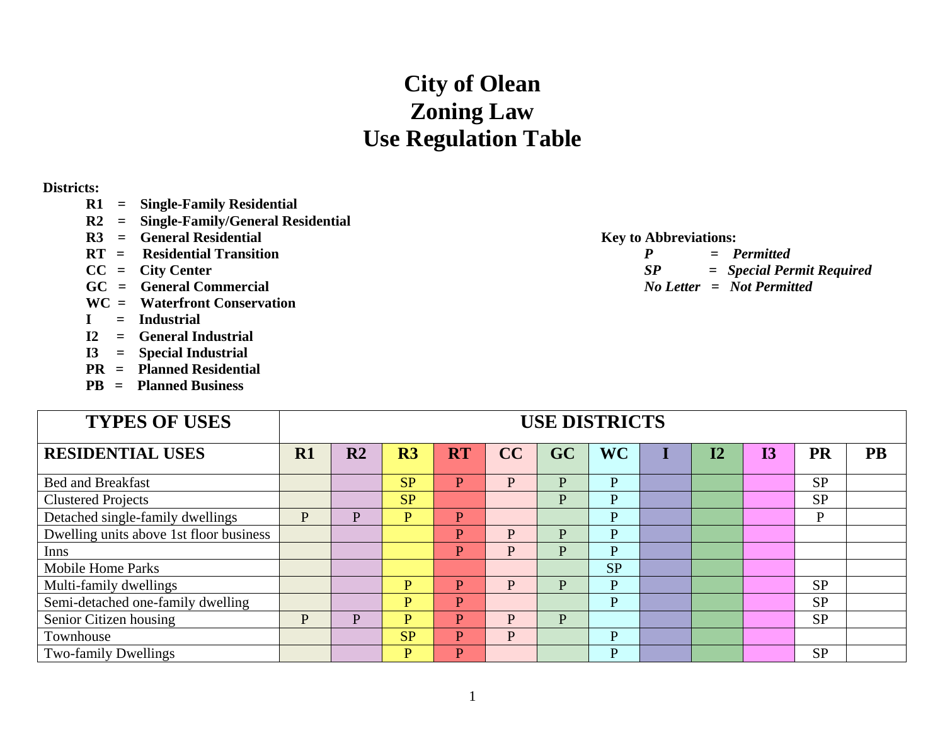## **City of Olean Zoning Law Use Regulation Table**

## **Districts:**

- **R1 = Single-Family Residential**
- **R2 = Single-Family/General Residential**
- **R3 = General Residential Key to Abbreviations:**
- **RT = Residential Transition**
- $CC = City Center$
- **GC = General Commercial**
- **WC = Waterfront Conservation**
- **I = Industrial**
- **I2 = General Industrial**
- **I3 = Special Industrial**
- **PR = Planned Residential**
- **PB = Planned Business**

| on |    | $=$ Permitted                 |
|----|----|-------------------------------|
|    | SP | = Special Permit Required     |
|    |    | $No$ Letter $=$ Not Permitted |

| <b>TYPES OF USES</b>                    | <b>USE DISTRICTS</b> |                |                |                |    |    |              |  |           |    |           |           |
|-----------------------------------------|----------------------|----------------|----------------|----------------|----|----|--------------|--|-----------|----|-----------|-----------|
| <b>RESIDENTIAL USES</b>                 | R1                   | R <sub>2</sub> | R <sub>3</sub> | <b>RT</b>      | CC | GC | <b>WC</b>    |  | <b>I2</b> | 13 | <b>PR</b> | <b>PB</b> |
| <b>Bed and Breakfast</b>                |                      |                | SP             | $\mathbf{P}$   | P  | P  | P            |  |           |    | <b>SP</b> |           |
| <b>Clustered Projects</b>               |                      |                | <b>SP</b>      |                |    | P  | P            |  |           |    | <b>SP</b> |           |
| Detached single-family dwellings        | P                    | P              | P              | P              |    |    | P            |  |           |    | P         |           |
| Dwelling units above 1st floor business |                      |                |                | P              | P  | P  | $\mathbf{P}$ |  |           |    |           |           |
| Inns                                    |                      |                |                | P              | P  | P  | P            |  |           |    |           |           |
| <b>Mobile Home Parks</b>                |                      |                |                |                |    |    | <b>SP</b>    |  |           |    |           |           |
| Multi-family dwellings                  |                      |                | $\overline{P}$ | P              | P  | P  | $\mathbf{P}$ |  |           |    | <b>SP</b> |           |
| Semi-detached one-family dwelling       |                      |                | $\overline{P}$ | $\mathbf{P}$   |    |    | $\mathbf{P}$ |  |           |    | <b>SP</b> |           |
| Senior Citizen housing                  | P                    | P              | P              | P              | P  | P  |              |  |           |    | <b>SP</b> |           |
| Townhouse                               |                      |                | <b>SP</b>      | P              | P  |    | P            |  |           |    |           |           |
| <b>Two-family Dwellings</b>             |                      |                | P              | $\overline{P}$ |    |    | P            |  |           |    | <b>SP</b> |           |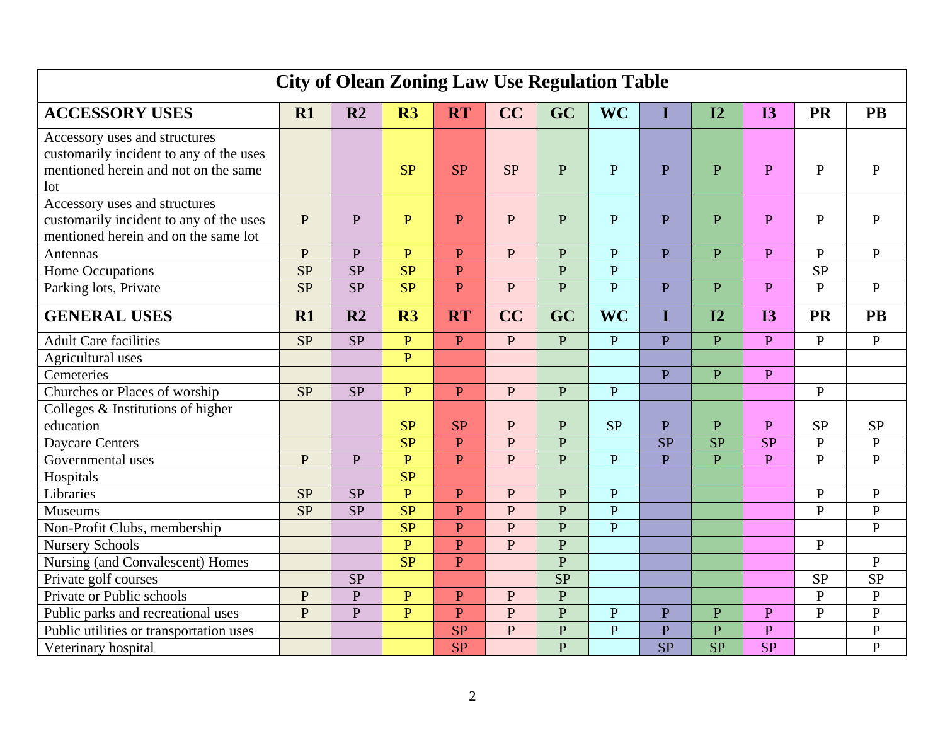| <b>City of Olean Zoning Law Use Regulation Table</b>                     |              |                |                 |                |                |                |                |                |              |              |                |              |
|--------------------------------------------------------------------------|--------------|----------------|-----------------|----------------|----------------|----------------|----------------|----------------|--------------|--------------|----------------|--------------|
| <b>ACCESSORY USES</b>                                                    | R1           | R <sub>2</sub> | R3              | <b>RT</b>      | CC             | GC             | <b>WC</b>      | I              | I2           | <b>I3</b>    | <b>PR</b>      | <b>PB</b>    |
| Accessory uses and structures<br>customarily incident to any of the uses |              |                |                 |                |                |                |                |                |              |              |                |              |
| mentioned herein and not on the same                                     |              |                | <b>SP</b>       | <b>SP</b>      | <b>SP</b>      | $\mathbf{P}$   | $\overline{P}$ | $\mathbf{P}$   | $\mathbf{P}$ | $\mathbf{P}$ | $\mathbf{P}$   | $\mathbf{P}$ |
| lot                                                                      |              |                |                 |                |                |                |                |                |              |              |                |              |
| Accessory uses and structures                                            |              |                |                 |                |                |                |                |                |              |              |                |              |
| customarily incident to any of the uses                                  | $\mathbf{P}$ | $\mathbf{P}$   | $\mathbf{P}$    | $\overline{P}$ | $\mathbf{P}$   | $\mathbf{P}$   | $\overline{P}$ | $\overline{P}$ | P            | $\mathbf{P}$ | $\mathbf{P}$   | $\mathbf{P}$ |
| mentioned herein and on the same lot                                     |              |                |                 |                |                |                |                |                |              |              |                |              |
| Antennas                                                                 | P            | $\mathbf{P}$   | $\mathbf{P}$    | P              | ${\bf P}$      | P              | ${\bf P}$      | $\overline{P}$ | $\mathbf{P}$ | $\mathbf{P}$ | $\mathbf{P}$   | $\mathbf{P}$ |
| <b>Home Occupations</b>                                                  | SP           | <b>SP</b>      | SP              | $\mathbf{P}$   |                | $\overline{P}$ | $\overline{P}$ |                |              |              | <b>SP</b>      |              |
| Parking lots, Private                                                    | <b>SP</b>    | <b>SP</b>      | SP              | $\overline{P}$ | ${\bf P}$      | $\overline{P}$ | $\overline{P}$ | $\overline{P}$ | $\mathbf{P}$ | P            | $\mathbf{P}$   | $\mathbf{P}$ |
| <b>GENERAL USES</b>                                                      | R1           | R <sub>2</sub> | R3              | <b>RT</b>      | CC             | GC             | <b>WC</b>      | I              | I2           | <b>I3</b>    | <b>PR</b>      | <b>PB</b>    |
| <b>Adult Care facilities</b>                                             | <b>SP</b>    | <b>SP</b>      | $\mathbf{P}$    | $\mathbf{P}$   | $\mathbf{P}$   | P              | $\overline{P}$ | $\overline{P}$ | $\mathbf{P}$ | $\mathbf{P}$ | $\mathbf{P}$   | $\mathbf{P}$ |
| Agricultural uses                                                        |              |                | $\overline{P}$  |                |                |                |                |                |              |              |                |              |
| Cemeteries                                                               |              |                |                 |                |                |                |                | $\overline{P}$ | $\mathbf{P}$ | P            |                |              |
| Churches or Places of worship                                            | SP           | <b>SP</b>      | $\overline{P}$  | $\mathbf{P}$   | $\mathbf{P}$   | $\mathbf{P}$   | $\mathbf{P}$   |                |              |              | ${\bf P}$      |              |
| Colleges $&$ Institutions of higher                                      |              |                |                 |                |                |                |                |                |              |              |                |              |
| education                                                                |              |                | <b>SP</b>       | <b>SP</b>      | ${\bf P}$      | $\mathbf{P}$   | <b>SP</b>      | $\overline{P}$ | $\mathbf{P}$ | $\mathbf{P}$ | <b>SP</b>      | <b>SP</b>    |
| <b>Daycare Centers</b>                                                   |              |                | $\overline{SP}$ | P              | $\overline{P}$ | $\overline{P}$ |                | <b>SP</b>      | <b>SP</b>    | SP           | $\overline{P}$ | ${\bf P}$    |
| Governmental uses                                                        | P            | P              | $\overline{P}$  | $\mathbf{P}$   | $\mathbf{P}$   | $\mathbf{P}$   | $\mathbf{P}$   | $\overline{P}$ | $\mathbf{P}$ | $\mathbf{P}$ | $\mathbf{P}$   | $\mathbf{P}$ |
| Hospitals                                                                |              |                | SP              |                |                |                |                |                |              |              |                |              |
| Libraries                                                                | SP           | <b>SP</b>      | $\overline{P}$  | $\mathbf{P}$   | ${\bf P}$      | P              | $\mathbf{P}$   |                |              |              | $\mathbf{P}$   | ${\bf P}$    |
| <b>Museums</b>                                                           | <b>SP</b>    | <b>SP</b>      | SP              | $\overline{P}$ | $\overline{P}$ | $\overline{P}$ | $\overline{P}$ |                |              |              | $\overline{P}$ | $\mathbf{P}$ |
| Non-Profit Clubs, membership                                             |              |                | SP              | $\mathbf{P}$   | ${\bf P}$      | $\mathbf{P}$   | $\overline{P}$ |                |              |              |                | $\mathbf{P}$ |
| <b>Nursery Schools</b>                                                   |              |                | $\overline{P}$  | $\overline{P}$ | $\mathbf{P}$   | $\mathbf{P}$   |                |                |              |              | $\mathbf{P}$   |              |
| Nursing (and Convalescent) Homes                                         |              |                | SP              | $\mathbf{P}$   |                | $\overline{P}$ |                |                |              |              |                | $\mathbf{P}$ |
| Private golf courses                                                     |              | <b>SP</b>      |                 |                |                | SP             |                |                |              |              | <b>SP</b>      | SP           |
| Private or Public schools                                                | $\mathbf{P}$ | $\mathbf{P}$   | $\overline{P}$  | $\overline{P}$ | $\mathbf{P}$   | $\overline{P}$ |                |                |              |              | $\overline{P}$ | ${\bf P}$    |
| Public parks and recreational uses                                       | P            | P              | $\mathbf{P}$    | $\overline{P}$ | $\mathbf{P}$   | $\overline{P}$ | ${\bf P}$      | $\overline{P}$ | $\mathbf{P}$ | $\mathbf{P}$ | $\overline{P}$ | $\mathbf{P}$ |
| Public utilities or transportation uses                                  |              |                |                 | <b>SP</b>      | $\mathbf{P}$   | $\overline{P}$ | $\overline{P}$ | $\overline{P}$ | $\mathbf{P}$ | $\mathbf{P}$ |                | ${\bf P}$    |
| Veterinary hospital                                                      |              |                |                 | <b>SP</b>      |                | $\overline{P}$ |                | <b>SP</b>      | <b>SP</b>    | <b>SP</b>    |                | $\mathbf{P}$ |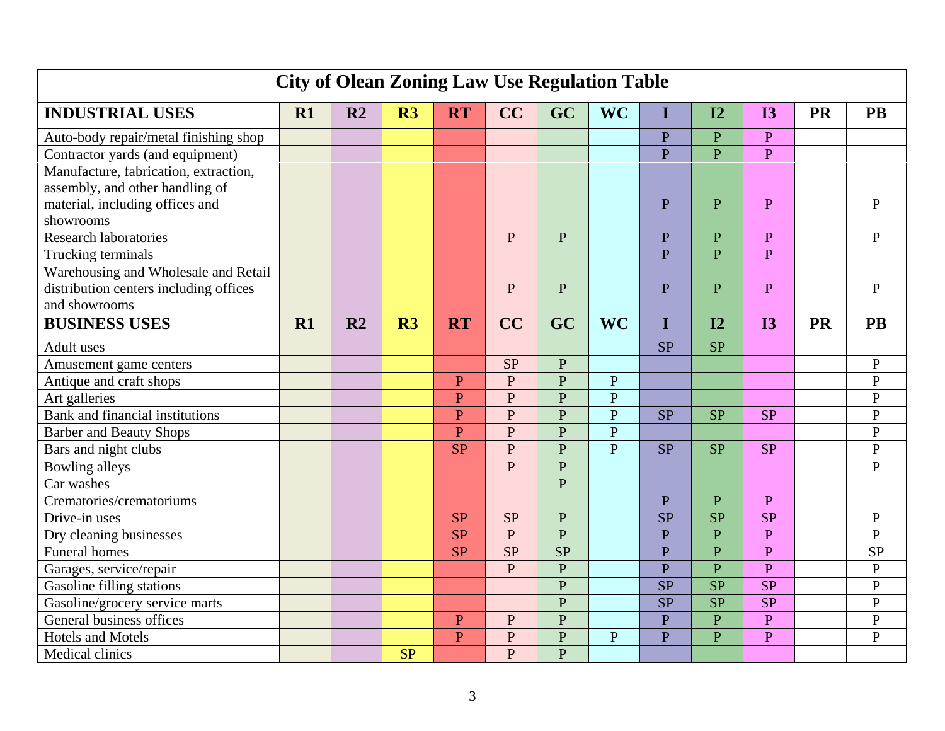| <b>City of Olean Zoning Law Use Regulation Table</b> |    |                |                |                |                |                |                |                |                |                |           |                |
|------------------------------------------------------|----|----------------|----------------|----------------|----------------|----------------|----------------|----------------|----------------|----------------|-----------|----------------|
| <b>INDUSTRIAL USES</b>                               | R1 | R <sub>2</sub> | R3             | <b>RT</b>      | CC             | GC             | <b>WC</b>      | Ι              | I2             | <b>I3</b>      | <b>PR</b> | <b>PB</b>      |
| Auto-body repair/metal finishing shop                |    |                |                |                |                |                |                | $\overline{P}$ | $\mathbf{P}$   | $\mathbf{P}$   |           |                |
| Contractor yards (and equipment)                     |    |                |                |                |                |                |                | $\overline{P}$ | $\overline{P}$ | $\mathbf{P}$   |           |                |
| Manufacture, fabrication, extraction,                |    |                |                |                |                |                |                |                |                |                |           |                |
| assembly, and other handling of                      |    |                |                |                |                |                |                |                |                |                |           |                |
| material, including offices and                      |    |                |                |                |                |                |                | $\overline{P}$ | $\mathbf P$    | $\overline{P}$ |           | $\mathbf{P}$   |
| showrooms                                            |    |                |                |                |                |                |                |                |                |                |           |                |
| <b>Research laboratories</b>                         |    |                |                |                | $\mathbf{P}$   | $\mathbf{P}$   |                | $\overline{P}$ | $\mathbf{P}$   | $\mathbf{P}$   |           | $\mathbf{P}$   |
| Trucking terminals                                   |    |                |                |                |                |                |                | $\overline{P}$ | $\mathbf{P}$   | P              |           |                |
| Warehousing and Wholesale and Retail                 |    |                |                |                |                |                |                |                |                |                |           |                |
| distribution centers including offices               |    |                |                |                | $\mathbf P$    | P              |                | $\overline{P}$ | $\mathbf{P}$   | P              |           | $\mathbf{P}$   |
| and showrooms                                        |    |                |                |                |                |                |                |                |                |                |           |                |
| <b>BUSINESS USES</b>                                 | R1 | R <sub>2</sub> | R <sub>3</sub> | <b>RT</b>      | CC             | GC             | <b>WC</b>      | I              | I2             | <b>I3</b>      | <b>PR</b> | <b>PB</b>      |
| Adult uses                                           |    |                |                |                |                |                |                | <b>SP</b>      | <b>SP</b>      |                |           |                |
| Amusement game centers                               |    |                |                |                | <b>SP</b>      | $\overline{P}$ |                |                |                |                |           | ${\bf P}$      |
| Antique and craft shops                              |    |                |                | $\mathbf{P}$   | $\mathbf{P}$   | P              | $\overline{P}$ |                |                |                |           | $\overline{P}$ |
| Art galleries                                        |    |                |                | $\overline{P}$ | $\mathbf{P}$   | $\overline{P}$ | $\mathbf{P}$   |                |                |                |           | $\mathbf{P}$   |
| Bank and financial institutions                      |    |                |                | $\mathbf{P}$   | $\mathbf{P}$   | $\mathbf{P}$   | $\overline{P}$ | SP             | <b>SP</b>      | <b>SP</b>      |           | $\mathbf{P}$   |
| <b>Barber and Beauty Shops</b>                       |    |                |                | $\overline{P}$ | $\mathbf{P}$   | $\overline{P}$ | $\overline{P}$ |                |                |                |           | $\mathbf P$    |
| Bars and night clubs                                 |    |                |                | <b>SP</b>      | $\mathbf{P}$   | $\overline{P}$ | $\overline{P}$ | SP             | <b>SP</b>      | <b>SP</b>      |           | $\mathbf{P}$   |
| Bowling alleys                                       |    |                |                |                | P              | $\overline{P}$ |                |                |                |                |           | $\mathbf{P}$   |
| Car washes                                           |    |                |                |                |                | $\overline{P}$ |                |                |                |                |           |                |
| Crematories/crematoriums                             |    |                |                |                |                |                |                | $\overline{P}$ | $\overline{P}$ | $\overline{P}$ |           |                |
| Drive-in uses                                        |    |                |                | <b>SP</b>      | <b>SP</b>      | ${\bf P}$      |                | SP             | <b>SP</b>      | <b>SP</b>      |           | ${\bf P}$      |
| Dry cleaning businesses                              |    |                |                | <b>SP</b>      | $\overline{P}$ | P              |                | $\overline{P}$ | $\overline{P}$ | $\overline{P}$ |           | $\overline{P}$ |
| <b>Funeral homes</b>                                 |    |                |                | <b>SP</b>      | <b>SP</b>      | <b>SP</b>      |                | $\overline{P}$ | ${\bf P}$      | $\overline{P}$ |           | <b>SP</b>      |
| Garages, service/repair                              |    |                |                |                | P              | $\mathbf{P}$   |                | $\overline{P}$ | $\overline{P}$ | $\overline{P}$ |           | ${\bf P}$      |
| Gasoline filling stations                            |    |                |                |                |                | $\overline{P}$ |                | SP             | SP             | SP             |           | $\mathbf{P}$   |
| Gasoline/grocery service marts                       |    |                |                |                |                | $\overline{P}$ |                | SP             | SP             | SP             |           | $\overline{P}$ |
| General business offices                             |    |                |                | $\overline{P}$ | $\mathbf P$    | $\overline{P}$ |                | $\overline{P}$ | $\mathbf{P}$   | $\mathbf{P}$   |           | $\mathbf{P}$   |
| <b>Hotels and Motels</b>                             |    |                |                | $\mathbf{P}$   | $\mathbf{P}$   | P              | $\mathbf{P}$   | $\overline{P}$ | $\mathbf{P}$   | $\overline{P}$ |           | $\overline{P}$ |
| Medical clinics                                      |    |                | SP             |                | $\overline{P}$ | $\overline{P}$ |                |                |                |                |           |                |